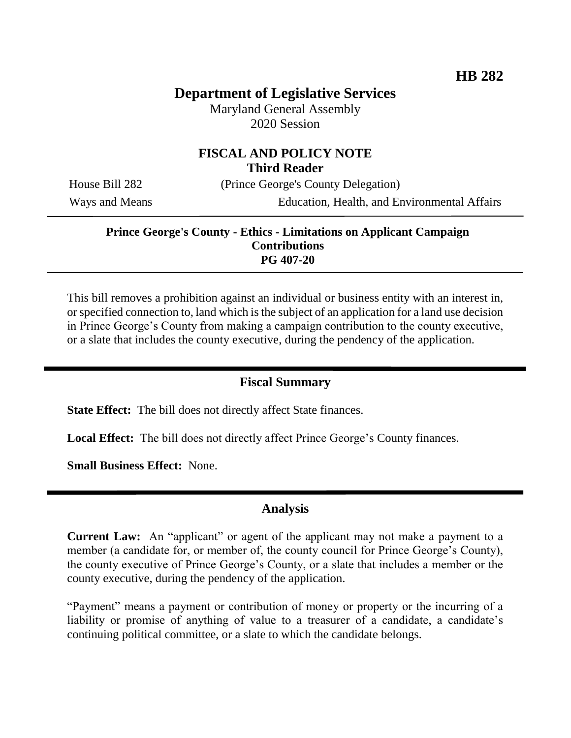# **Department of Legislative Services**

Maryland General Assembly 2020 Session

### **FISCAL AND POLICY NOTE Third Reader**

House Bill 282 (Prince George's County Delegation)

Ways and Means Education, Health, and Environmental Affairs

#### **Prince George's County - Ethics - Limitations on Applicant Campaign Contributions PG 407-20**

This bill removes a prohibition against an individual or business entity with an interest in, or specified connection to, land which is the subject of an application for a land use decision in Prince George's County from making a campaign contribution to the county executive, or a slate that includes the county executive, during the pendency of the application.

### **Fiscal Summary**

**State Effect:** The bill does not directly affect State finances.

**Local Effect:** The bill does not directly affect Prince George's County finances.

**Small Business Effect:** None.

#### **Analysis**

**Current Law:** An "applicant" or agent of the applicant may not make a payment to a member (a candidate for, or member of, the county council for Prince George's County), the county executive of Prince George's County, or a slate that includes a member or the county executive, during the pendency of the application.

"Payment" means a payment or contribution of money or property or the incurring of a liability or promise of anything of value to a treasurer of a candidate, a candidate's continuing political committee, or a slate to which the candidate belongs.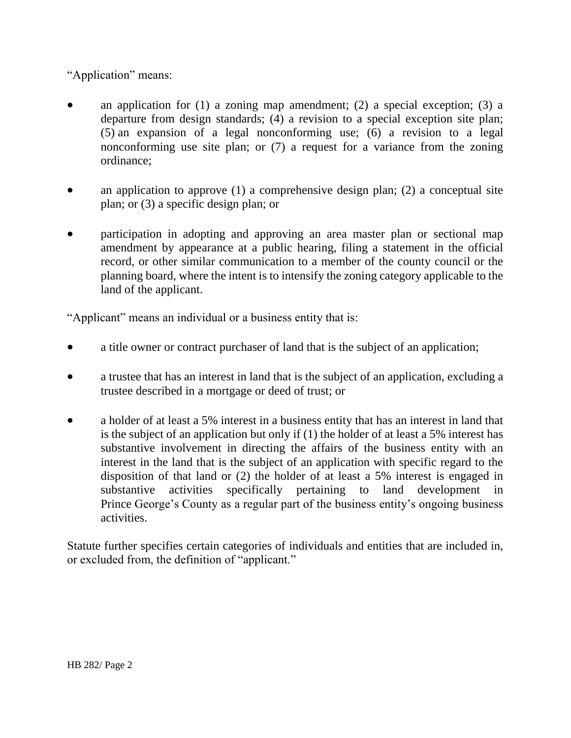"Application" means:

- an application for (1) a zoning map amendment; (2) a special exception; (3) a departure from design standards; (4) a revision to a special exception site plan; (5) an expansion of a legal nonconforming use; (6) a revision to a legal nonconforming use site plan; or (7) a request for a variance from the zoning ordinance;
- an application to approve (1) a comprehensive design plan; (2) a conceptual site plan; or (3) a specific design plan; or
- participation in adopting and approving an area master plan or sectional map amendment by appearance at a public hearing, filing a statement in the official record, or other similar communication to a member of the county council or the planning board, where the intent is to intensify the zoning category applicable to the land of the applicant.

"Applicant" means an individual or a business entity that is:

- a title owner or contract purchaser of land that is the subject of an application;
- a trustee that has an interest in land that is the subject of an application, excluding a trustee described in a mortgage or deed of trust; or
- a holder of at least a 5% interest in a business entity that has an interest in land that is the subject of an application but only if (1) the holder of at least a 5% interest has substantive involvement in directing the affairs of the business entity with an interest in the land that is the subject of an application with specific regard to the disposition of that land or (2) the holder of at least a 5% interest is engaged in substantive activities specifically pertaining to land development in Prince George's County as a regular part of the business entity's ongoing business activities.

Statute further specifies certain categories of individuals and entities that are included in, or excluded from, the definition of "applicant."